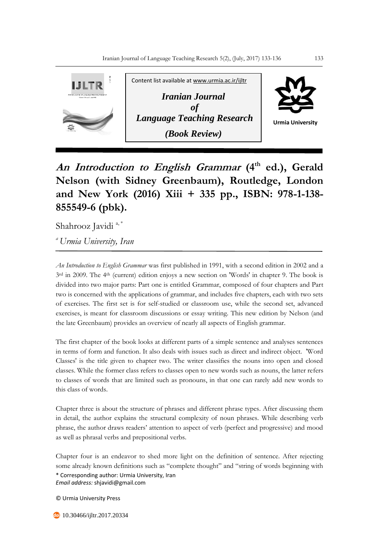

**An Introduction to English Grammar (4th ed.), Gerald Nelson (with Sidney Greenbaum), Routledge, London and New York (2016) Xiii + 335 pp., ISBN: 978-1-138- 855549-6 (pbk).**

Shahrooz Javidi<sup>a,\*</sup>

*<sup>a</sup>Urmia University, Iran*

*An Introduction to English Grammar* was first published in 1991, with a second edition in 2002 and a 3rd in 2009. The 4th (current) edition enjoys a new section on 'Words' in chapter 9. The book is divided into two major parts: Part one is entitled Grammar, composed of four chapters and Part two is concerned with the applications of grammar, and includes five chapters, each with two sets of exercises. The first set is for self-studied or classroom use, while the second set, advanced exercises, is meant for classroom discussions or essay writing. This new edition by Nelson (and the late Greenbaum) provides an overview of nearly all aspects of English grammar.

The first chapter of the book looks at different parts of a simple sentence and analyses sentences in terms of form and function. It also deals with issues such as direct and indirect object. 'Word Classes' is the title given to chapter two. The writer classifies the nouns into open and closed classes. While the former class refers to classes open to new words such as nouns, the latter refers to classes of words that are limited such as pronouns, in that one can rarely add new words to this class of words.

Chapter three is about the structure of phrases and different phrase types. After discussing them in detail, the author explains the structural complexity of noun phrases. While describing verb phrase, the author draws readers' attention to aspect of verb (perfect and progressive) and mood as well as phrasal verbs and prepositional verbs.

\* Corresponding author: Urmia University, Iran *Email address:* shjavidi@gmail.com Chapter four is an endeavor to shed more light on the definition of sentence. After rejecting some already known definitions such as "complete thought" and "string of words beginning with

© Urmia University Press

**do** 10.30466/ijltr.2017.20334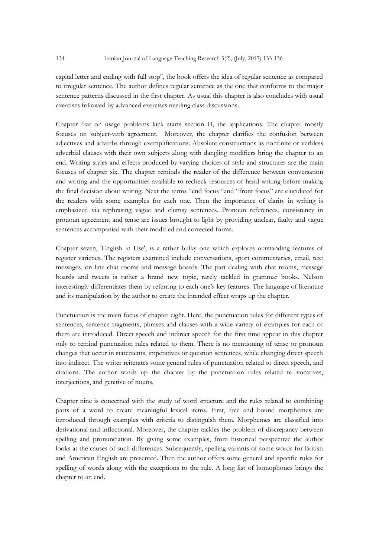capital letter and ending with full stop", the book offers the idea of regular sentence as compared to irregular sentence. The author defines regular sentence as the one that conforms to the major sentence patterns discussed in the first chapter. As usual this chapter is also concludes with usual exercises followed by advanced exercises needing class discussions.

Chapter five on usage problems kick starts section II, the applications. The chapter mostly focuses on subject-verb agreement. Moreover, the chapter clarifies the confusion between adjectives and adverbs through exemplifications. Absolute constructions as nonfinite or verbless adverbial clauses with their own subjects along with dangling modifiers bring the chapter to an end. Writing styles and effects produced by varying choices of style and structures are the main focuses of chapter six. The chapter reminds the reader of the difference between conversation and writing and the opportunities available to recheck resources of hand writing before making the final decision about writing. Next the terms "end focus "and "front focus" are elucidated for the readers with some examples for each one. Then the importance of clarity in writing is emphasized via rephrasing vague and clumsy sentences. Pronoun references, consistency in pronoun agreement and tense are issues brought to light by providing unclear, faulty and vague sentences accompanied with their modified and corrected forms.

Chapter seven, 'English in Use', is a rather bulky one which explores outstanding features of register varieties. The registers examined include conversations, sport commentaries, email, text messages, on line chat rooms and message boards. The part dealing with chat rooms, message boards and tweets is rather a brand new topic, rarely tackled in grammar books. Nelson interestingly differentiates them by referring to each one's key features. The language of literature and its manipulation by the author to create the intended effect wraps up the chapter.

Punctuation is the main focus of chapter eight. Here, the punctuation rules for different types of sentences, sentence fragments, phrases and clauses with a wide variety of examples for each of them are introduced. Direct speech and indirect speech for the first time appear in this chapter only to remind punctuation rules related to them. There is no mentioning of tense or pronoun changes that occur in statements, imperatives or question sentences, while changing direct speech into indirect. The writer reiterates some general rules of punctuation related to direct speech, and citations. The author winds up the chapter by the punctuation rules related to vocatives, interjections, and genitive of nouns.

Chapter nine is concerned with the study of word structure and the rules related to combining parts of a word to create meaningful lexical items. First, free and bound morphemes are introduced through examples with criteria to distinguish them. Morphemes are classified into derivational and inflectional. Moreover, the chapter tackles the problem of discrepancy between spelling and pronunciation. By giving some examples, from historical perspective the author looks at the causes of such differences. Subsequently, spelling variants of some words for British and American English are presented. Then the author offers some general and specific rules for spelling of words along with the exceptions to the rule. A long list of homophones brings the chapter to an end.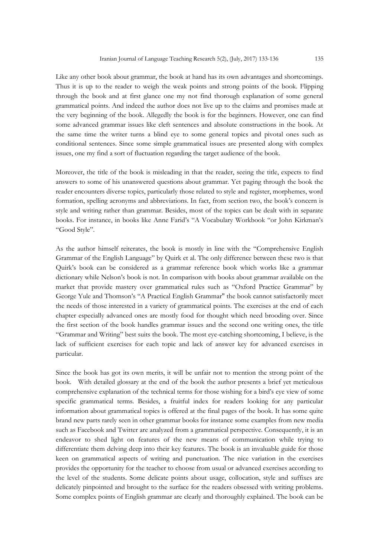Like any other book about grammar, the book at hand has its own advantages and shortcomings. Thus it is up to the reader to weigh the weak points and strong points of the book. Flipping through the book and at first glance one my not find thorough explanation of some general grammatical points. And indeed the author does not live up to the claims and promises made at the very beginning of the book. Allegedly the book is for the beginners. However, one can find some advanced grammar issues like cleft sentences and absolute constructions in the book. At the same time the writer turns a blind eye to some general topics and pivotal ones such as conditional sentences. Since some simple grammatical issues are presented along with complex issues, one my find a sort of fluctuation regarding the target audience of the book.

Moreover, the title of the book is misleading in that the reader, seeing the title, expects to find answers to some of his unanswered questions about grammar. Yet paging through the book the reader encounters diverse topics, particularly those related to style and register, morphemes, word formation, spelling acronyms and abbreviations. In fact, from section two, the book's concern is style and writing rather than grammar. Besides, most of the topics can be dealt with in separate books. For instance, in books like Anne Farid's "A Vocabulary Workbook "or John Kirkman's "Good Style".

As the author himself reiterates, the book is mostly in line with the "Comprehensive English Grammar of the English Language" by Quirk et al. The only difference between these two is that Quirk's book can be considered as a grammar reference book which works like a grammar dictionary while Nelson's book is not. In comparison with books about grammar available on the market that provide mastery over grammatical rules such as "Oxford Practice Grammar" by George Yule and Thomson's "A Practical English Grammar" the book cannot satisfactorily meet the needs of those interested in a variety of grammatical points. The exercises at the end of each chapter especially advanced ones are mostly food for thought which need brooding over. Since the first section of the book handles grammar issues and the second one writing ones, the title "Grammar and Writing" best suits the book. The most eye-catching shortcoming, I believe, is the lack of sufficient exercises for each topic and lack of answer key for advanced exercises in particular.

Since the book has got its own merits, it will be unfair not to mention the strong point of the book. With detailed glossary at the end of the book the author presents a brief yet meticulous comprehensive explanation of the technical terms for those wishing for a bird's eye view of some specific grammatical terms. Besides, a fruitful index for readers looking for any particular information about grammatical topics is offered at the final pages of the book. It has some quite brand new parts rarely seen in other grammar books for instance some examples from new media such as Facebook and Twitter are analyzed from a grammatical perspective. Consequently, it is an endeavor to shed light on features of the new means of communication while trying to differentiate them delving deep into their key features. The book is an invaluable guide for those keen on grammatical aspects of writing and punctuation. The nice variation in the exercises provides the opportunity for the teacher to choose from usual or advanced exercises according to the level of the students. Some delicate points about usage, collocation, style and suffixes are delicately pinpointed and brought to the surface for the readers obsessed with writing problems. Some complex points of English grammar are clearly and thoroughly explained. The book can be